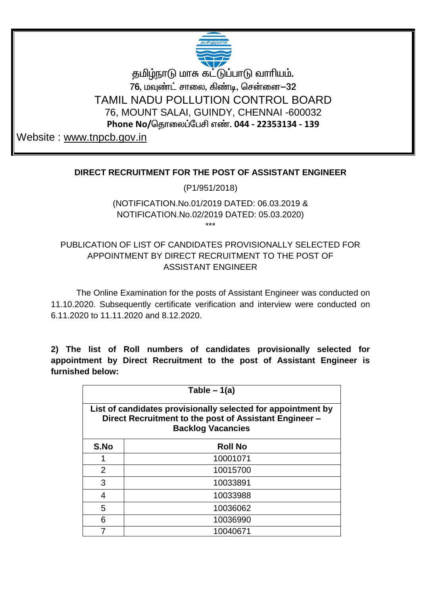

தமிழ்நாடு மாசு கட்டுப்பாடு வாரியம். 76, மவுண்ட் சாலை, கிண்டி, சென்னை—32 TAMIL NADU POLLUTION CONTROL BOARD 76, MOUNT SALAI, GUINDY, CHENNAI -600032 Phone No/தொலைப்பேசி எண். 044 - 22353134 - 139

Website: www.tnpcb.gov.in

## DIRECT RECRUITMENT FOR THE POST OF ASSISTANT ENGINEER

(P1/951/2018)

## (NOTIFICATION.No.01/2019 DATED: 06.03.2019 & NOTIFICATION.No.02/2019 DATED: 05.03.2020) بديدية

## PUBLICATION OF LIST OF CANDIDATES PROVISIONALLY SELECTED FOR APPOINTMENT BY DIRECT RECRUITMENT TO THE POST OF **ASSISTANT ENGINEER**

The Online Examination for the posts of Assistant Engineer was conducted on 11.10.2020. Subsequently certificate verification and interview were conducted on 6.11.2020 to 11.11.2020 and 8.12.2020.

2) The list of Roll numbers of candidates provisionally selected for appointment by Direct Recruitment to the post of Assistant Engineer is furnished below:

| Table $-1(a)$                                                                                                                                      |                |  |  |  |  |  |  |
|----------------------------------------------------------------------------------------------------------------------------------------------------|----------------|--|--|--|--|--|--|
| List of candidates provisionally selected for appointment by<br>Direct Recruitment to the post of Assistant Engineer -<br><b>Backlog Vacancies</b> |                |  |  |  |  |  |  |
| S.No                                                                                                                                               | <b>Roll No</b> |  |  |  |  |  |  |
|                                                                                                                                                    | 10001071       |  |  |  |  |  |  |
| $\overline{2}$                                                                                                                                     | 10015700       |  |  |  |  |  |  |
| 3                                                                                                                                                  | 10033891       |  |  |  |  |  |  |
| 4                                                                                                                                                  | 10033988       |  |  |  |  |  |  |
| 5                                                                                                                                                  | 10036062       |  |  |  |  |  |  |
| 6                                                                                                                                                  | 10036990       |  |  |  |  |  |  |
|                                                                                                                                                    | 10040671       |  |  |  |  |  |  |